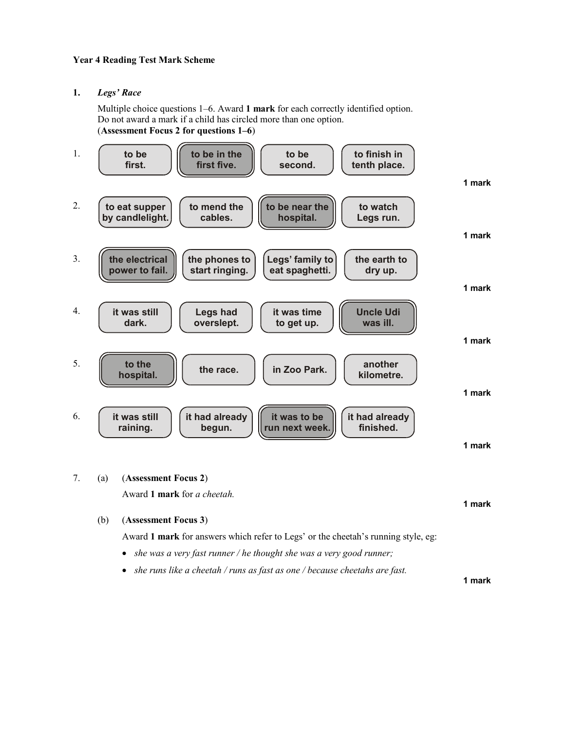# Year 4 Reading Test Mark Scheme

1. Legs' Race

Multiple choice questions 1–6. Award 1 mark for each correctly identified option. Do not award a mark if a child has circled more than one option. (Assessment Focus 2 for questions 1–6)



7. (a) (Assessment Focus 2)

Award 1 mark for a cheetah.

(b) (Assessment Focus 3)

Award 1 mark for answers which refer to Legs' or the cheetah's running style, eg:

- she was a very fast runner / he thought she was a very good runner;
- she runs like a cheetah / runs as fast as one / because cheetahs are fast.

1 mark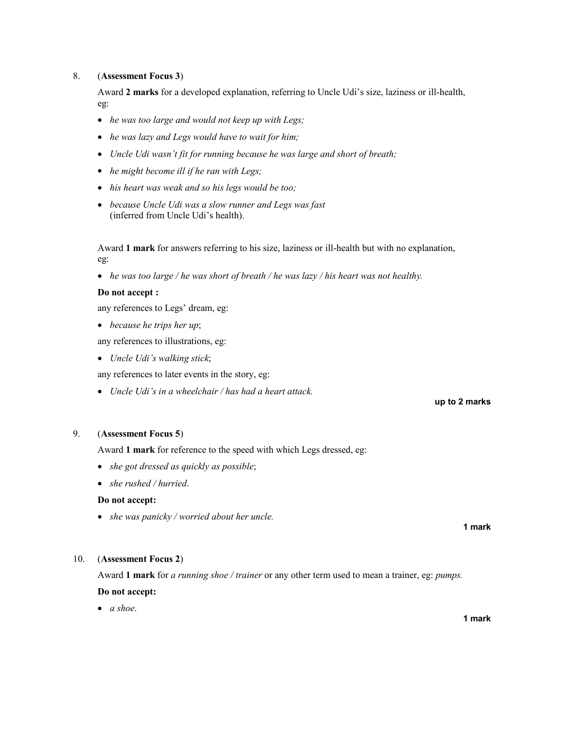# 8. (Assessment Focus 3)

 Award 2 marks for a developed explanation, referring to Uncle Udi's size, laziness or ill-health, eg:

- he was too large and would not keep up with Legs;
- he was lazy and Legs would have to wait for him;
- Uncle Udi wasn't fit for running because he was large and short of breath;
- he might become ill if he ran with Legs;
- his heart was weak and so his legs would be too;
- because Uncle Udi was a slow runner and Legs was fast (inferred from Uncle Udi's health).

 Award 1 mark for answers referring to his size, laziness or ill-health but with no explanation, eg:

• he was too large / he was short of breath / he was lazy / his heart was not healthy.

#### Do not accept :

any references to Legs' dream, eg:

• because he trips her up;

any references to illustrations, eg:

• Uncle Udi's walking stick;

any references to later events in the story, eg:

• Uncle Udi's in a wheelchair / has had a heart attack.

# 9. (Assessment Focus 5)

Award 1 mark for reference to the speed with which Legs dressed, eg:

- she got dressed as quickly as possible;
- she rushed / hurried.

# Do not accept:

• she was panicky / worried about her uncle.

1 mark

up to 2 marks

## 10. (Assessment Focus 2)

Award 1 mark for *a running shoe / trainer* or any other term used to mean a trainer, eg: *pumps*.

# Do not accept:

 $\bullet$  a shoe.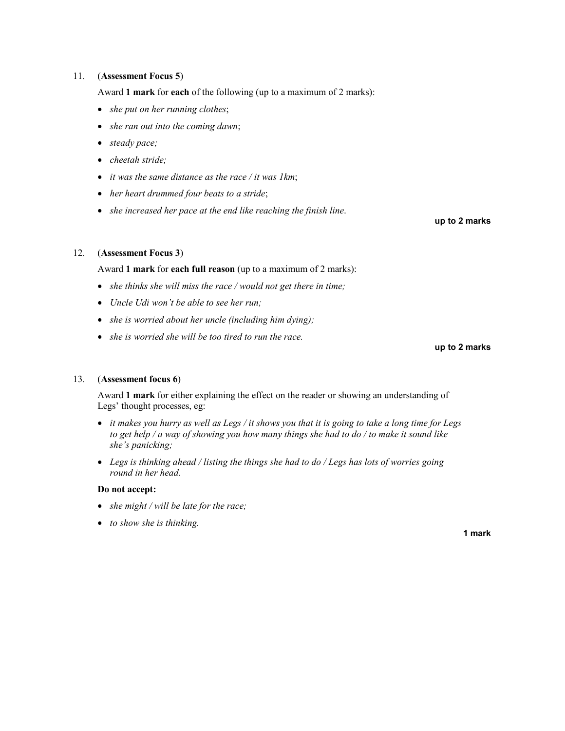# 11. (Assessment Focus 5)

Award 1 mark for each of the following (up to a maximum of 2 marks):

- she put on her running clothes;
- she ran out into the coming dawn;
- steady pace;
- cheetah stride;
- $\bullet$  it was the same distance as the race / it was 1km;
- her heart drummed four beats to a stride;
- she increased her pace at the end like reaching the finish line.

#### up to 2 marks

## 12. (Assessment Focus 3)

Award 1 mark for each full reason (up to a maximum of 2 marks):

- she thinks she will miss the race / would not get there in time;
- Uncle Udi won't be able to see her run;
- she is worried about her uncle (including him dying);
- she is worried she will be too tired to run the race.

up to 2 marks

## 13. (Assessment focus 6)

Award 1 mark for either explaining the effect on the reader or showing an understanding of Legs' thought processes, eg:

- it makes you hurry as well as Legs / it shows you that it is going to take a long time for Legs to get help / a way of showing you how many things she had to do / to make it sound like she's panicking;
- Legs is thinking ahead / listing the things she had to do  $/$  Legs has lots of worries going round in her head.

#### Do not accept:

- she might / will be late for the race;
- to show she is thinking.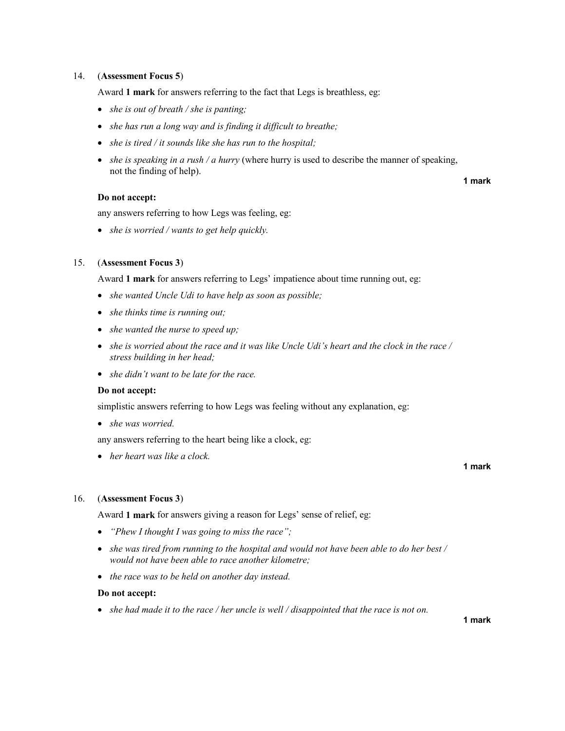### 14. (Assessment Focus 5)

Award 1 mark for answers referring to the fact that Legs is breathless, eg:

- she is out of breath / she is panting;
- she has run a long way and is finding it difficult to breathe;
- she is tired / it sounds like she has run to the hospital;
- she is speaking in a rush / a hurry (where hurry is used to describe the manner of speaking, not the finding of help).

#### Do not accept:

any answers referring to how Legs was feeling, eg:

• she is worried / wants to get help quickly.

#### 15. (Assessment Focus 3)

Award 1 mark for answers referring to Legs' impatience about time running out, eg:

- she wanted Uncle Udi to have help as soon as possible;
- she thinks time is running out;
- she wanted the nurse to speed up;
- she is worried about the race and it was like Uncle Udi's heart and the clock in the race / stress building in her head;
- she didn't want to be late for the race.

#### Do not accept:

simplistic answers referring to how Legs was feeling without any explanation, eg:

• she was worried.

any answers referring to the heart being like a clock, eg:

• her heart was like a clock.

#### 16. (Assessment Focus 3)

Award 1 mark for answers giving a reason for Legs' sense of relief, eg:

- "Phew I thought I was going to miss the race";
- she was tired from running to the hospital and would not have been able to do her best / would not have been able to race another kilometre;
- the race was to be held on another day instead.

### Do not accept:

• she had made it to the race / her uncle is well / disappointed that the race is not on.

1 mark

### 1 mark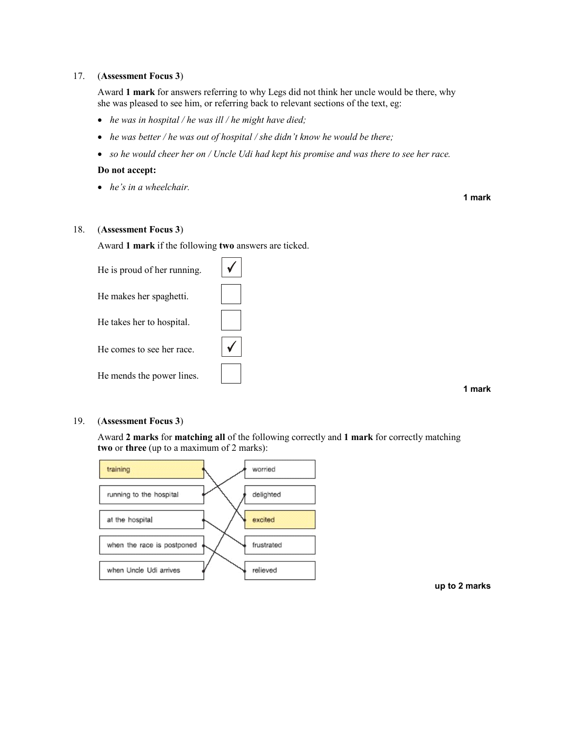### 17. (Assessment Focus 3)

 Award 1 mark for answers referring to why Legs did not think her uncle would be there, why she was pleased to see him, or referring back to relevant sections of the text, eg:

- he was in hospital / he was ill / he might have died;
- he was better / he was out of hospital / she didn't know he would be there;
- so he would cheer her on / Uncle Udi had kept his promise and was there to see her race.

#### Do not accept:

• he's in a wheelchair.

1 mark

# 18. (Assessment Focus 3)

Award 1 mark if the following two answers are ticked.

| He is proud of her running. |  |
|-----------------------------|--|
| He makes her spaghetti.     |  |
| He takes her to hospital.   |  |
| He comes to see her race.   |  |
| He mends the power lines.   |  |

1 mark

#### 19. (Assessment Focus 3)

Award 2 marks for matching all of the following correctly and 1 mark for correctly matching two or three (up to a maximum of 2 marks):



up to 2 marks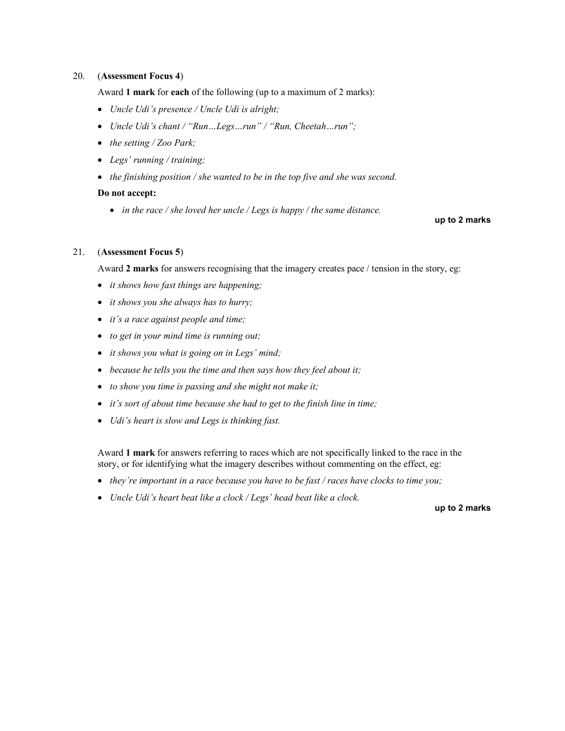## 20. (Assessment Focus 4)

Award 1 mark for each of the following (up to a maximum of 2 marks):

- Uncle Udi's presence / Uncle Udi is alright;
- Uncle Udi's chant / "Run...Legs...run" / "Run, Cheetah...run";
- the setting / Zoo Park;
- Legs' running / training;
- the finishing position / she wanted to be in the top five and she was second.

# Do not accept:

• in the race / she loved her uncle / Legs is happy / the same distance.

### up to 2 marks

# 21. (Assessment Focus 5)

Award 2 marks for answers recognising that the imagery creates pace / tension in the story, eg:

- *it shows how fast things are happening;*
- *it shows you she always has to hurry;*
- *it's a race against people and time*;
- to get in your mind time is running out;
- it shows you what is going on in Legs' mind;
- because he tells you the time and then says how they feel about it;
- to show you time is passing and she might not make it;
- it's sort of about time because she had to get to the finish line in time;
- Udi's heart is slow and Legs is thinking fast.

 Award 1 mark for answers referring to races which are not specifically linked to the race in the story, or for identifying what the imagery describes without commenting on the effect, eg:

- they're important in a race because you have to be fast / races have clocks to time you;
- Uncle Udi's heart beat like a clock / Legs' head beat like a clock.

up to 2 marks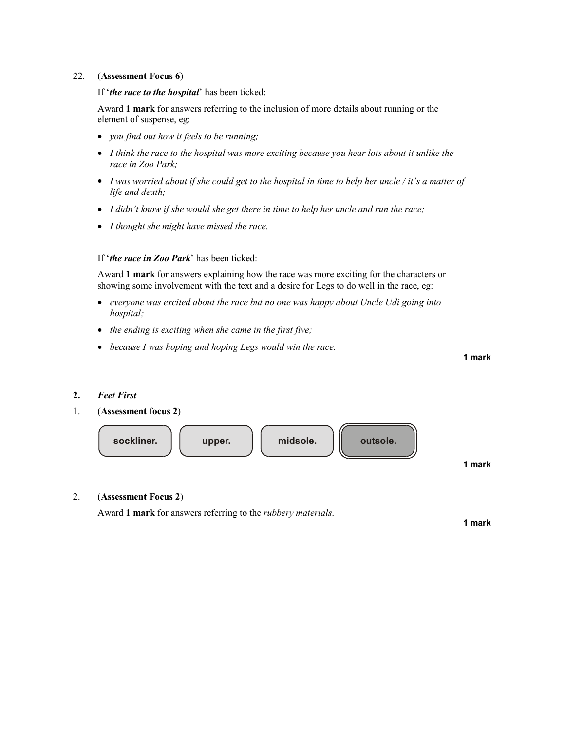### 22. (Assessment Focus 6)

If 'the race to the hospital' has been ticked:

 Award 1 mark for answers referring to the inclusion of more details about running or the element of suspense, eg:

- you find out how it feels to be running;
- I think the race to the hospital was more exciting because you hear lots about it unlike the race in Zoo Park;
- I was worried about if she could get to the hospital in time to help her uncle / it's a matter of life and death;
- I didn't know if she would she get there in time to help her uncle and run the race;
- I thought she might have missed the race.

# If 'the race in Zoo Park' has been ticked:

 Award 1 mark for answers explaining how the race was more exciting for the characters or showing some involvement with the text and a desire for Legs to do well in the race, eg:

- everyone was excited about the race but no one was happy about Uncle Udi going into hospital;
- the ending is exciting when she came in the first five;
- because I was hoping and hoping Legs would win the race.

1 mark

# 2. Feet First

1. (Assessment focus 2)



2. (Assessment Focus 2)

Award 1 mark for answers referring to the *rubbery materials*.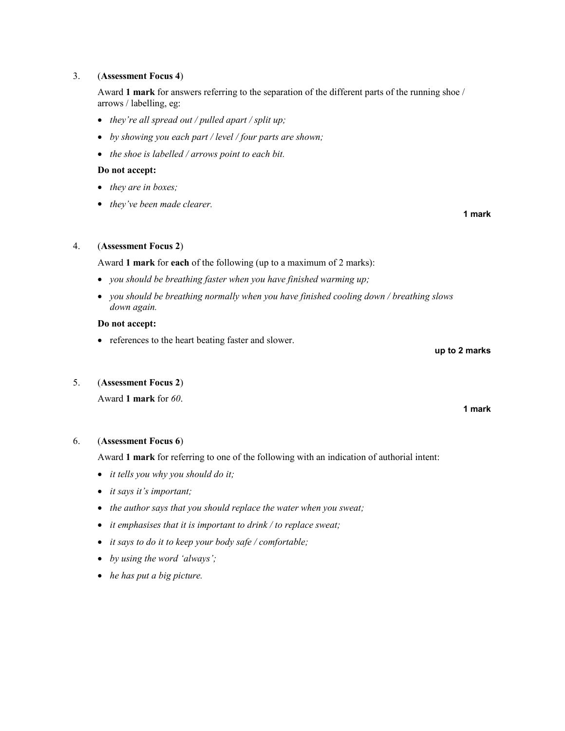## 3. (Assessment Focus 4)

Award 1 mark for answers referring to the separation of the different parts of the running shoe / arrows / labelling, eg:

- they're all spread out / pulled apart / split up;
- by showing you each part / level / four parts are shown;
- the shoe is labelled / arrows point to each bit.

#### Do not accept:

- they are in boxes;
- they've been made clearer.

#### 4. (Assessment Focus 2)

Award 1 mark for each of the following (up to a maximum of 2 marks):

- you should be breathing faster when you have finished warming up;
- you should be breathing normally when you have finished cooling down / breathing slows down again.

### Do not accept:

• references to the heart beating faster and slower.

# 5. (Assessment Focus 2)

Award 1 mark for 60.

### 6. (Assessment Focus 6)

Award 1 mark for referring to one of the following with an indication of authorial intent:

- it tells you why you should do it;
- *it says it's important;*
- the author says that you should replace the water when you sweat;
- it emphasises that it is important to drink / to replace sweat;
- it says to do it to keep your body safe / comfortable;
- by using the word 'always';
- he has put a big picture.

up to 2 marks

1 mark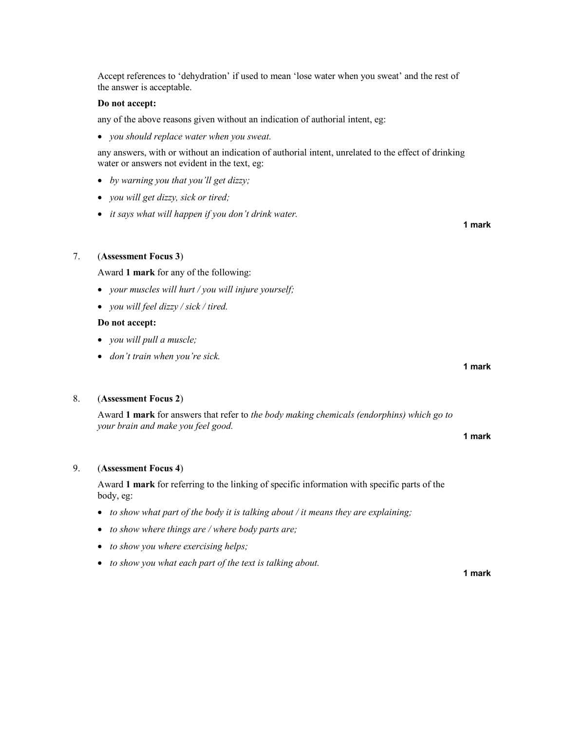Accept references to 'dehydration' if used to mean 'lose water when you sweat' and the rest of the answer is acceptable.

#### Do not accept:

any of the above reasons given without an indication of authorial intent, eg:

• you should replace water when you sweat.

 any answers, with or without an indication of authorial intent, unrelated to the effect of drinking water or answers not evident in the text, eg:

- by warning you that you'll get dizzy;
- *vou will get dizzy, sick or tired;*
- it says what will happen if you don't drink water.

### 7. (Assessment Focus 3)

Award 1 mark for any of the following:

- your muscles will hurt / you will injure yourself;
- vou will feel dizzy / sick / tired.

#### Do not accept:

- you will pull a muscle;
- don't train when you're sick.

#### 8. (Assessment Focus 2)

Award 1 mark for answers that refer to the body making chemicals (endorphins) which go to your brain and make you feel good.

#### 9. (Assessment Focus 4)

Award 1 mark for referring to the linking of specific information with specific parts of the body, eg:

- to show what part of the body it is talking about / it means they are explaining;
- to show where things are / where body parts are;
- to show you where exercising helps;
- to show you what each part of the text is talking about.

1 mark

1 mark

#### 1 mark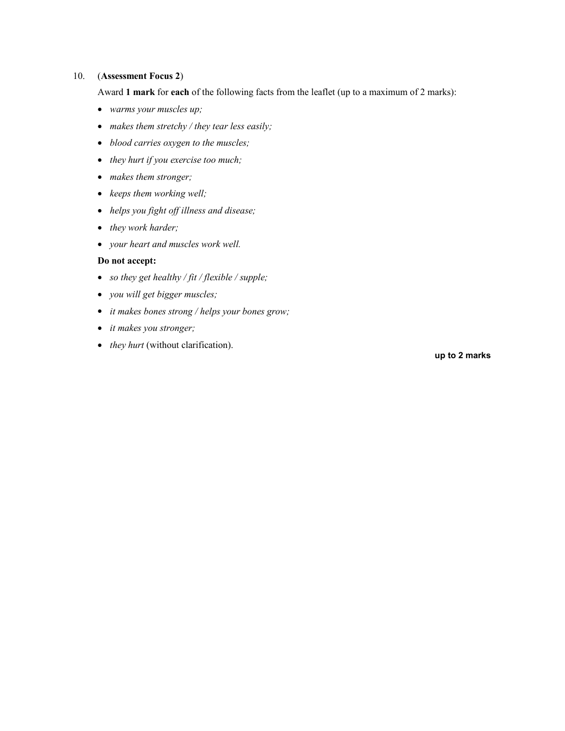# 10. (Assessment Focus 2)

Award 1 mark for each of the following facts from the leaflet (up to a maximum of 2 marks):

- warms your muscles up;
- makes them stretchy / they tear less easily;
- blood carries oxygen to the muscles;
- they hurt if you exercise too much;
- makes them stronger;
- keeps them working well;
- helps you fight off illness and disease;
- they work harder;
- your heart and muscles work well.

# Do not accept:

- so they get healthy / fit / flexible / supple;
- you will get bigger muscles;
- *it makes bones strong / helps your bones grow;*
- it makes you stronger;
- they hurt (without clarification).

up to 2 marks